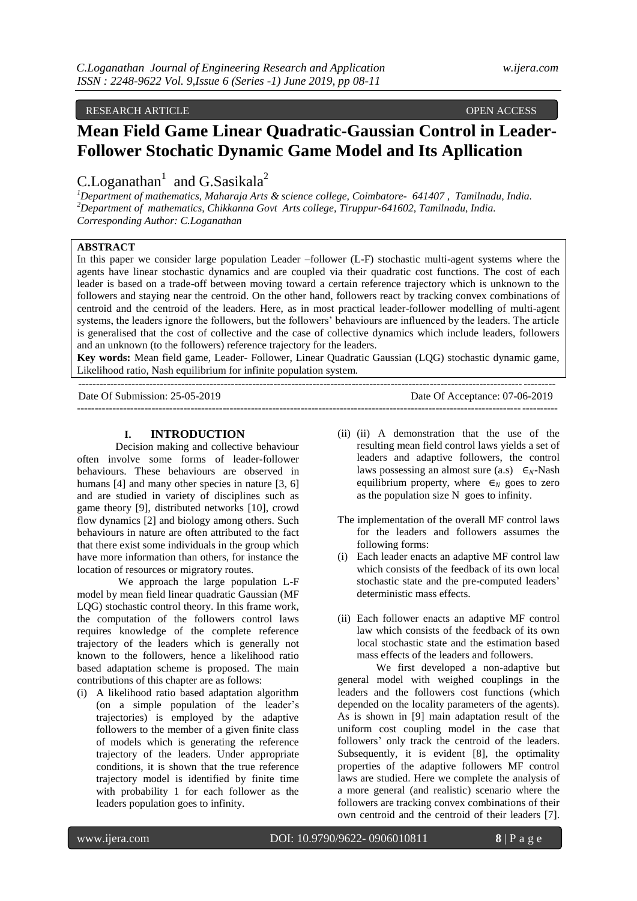# RESEARCH ARTICLE **OPEN ACCESS**

# **Mean Field Game Linear Quadratic-Gaussian Control in Leader-Follower Stochatic Dynamic Game Model and Its Apllication**

C.Loganathan<sup>1</sup> and G.Sasikala<sup>2</sup>

*<sup>1</sup>Department of mathematics, Maharaja Arts & science college, Coimbatore- 641407 , Tamilnadu, India. <sup>2</sup>Department of mathematics, Chikkanna Govt Arts college, Tiruppur-641602, Tamilnadu, India. Corresponding Author: C.Loganathan*

# **ABSTRACT**

In this paper we consider large population Leader –follower (L-F) stochastic multi-agent systems where the agents have linear stochastic dynamics and are coupled via their quadratic cost functions. The cost of each leader is based on a trade-off between moving toward a certain reference trajectory which is unknown to the followers and staying near the centroid. On the other hand, followers react by tracking convex combinations of centroid and the centroid of the leaders. Here, as in most practical leader-follower modelling of multi-agent systems, the leaders ignore the followers, but the followers' behaviours are influenced by the leaders. The article is generalised that the cost of collective and the case of collective dynamics which include leaders, followers and an unknown (to the followers) reference trajectory for the leaders.

**Key words:** Mean field game, Leader- Follower, Linear Quadratic Gaussian (LQG) stochastic dynamic game, Likelihood ratio, Nash equilibrium for infinite population system.

Date Of Submission: 25-05-2019 Date Of Acceptance: 07-06-2019 ---------------------------------------------------------------------------------------------------------------------------------------

## **I. INTRODUCTION**

--------------------------------------------------------------------------------------------------------------------------------------

Decision making and collective behaviour often involve some forms of leader-follower behaviours. These behaviours are observed in humans [4] and many other species in nature [3, 6] and are studied in variety of disciplines such as game theory [9], distributed networks [10], crowd flow dynamics [2] and biology among others. Such behaviours in nature are often attributed to the fact that there exist some individuals in the group which have more information than others, for instance the location of resources or migratory routes.

We approach the large population L-F model by mean field linear quadratic Gaussian (MF LOG) stochastic control theory. In this frame work, the computation of the followers control laws requires knowledge of the complete reference trajectory of the leaders which is generally not known to the followers, hence a likelihood ratio based adaptation scheme is proposed. The main contributions of this chapter are as follows:

(i) A likelihood ratio based adaptation algorithm (on a simple population of the leader's trajectories) is employed by the adaptive followers to the member of a given finite class of models which is generating the reference trajectory of the leaders. Under appropriate conditions, it is shown that the true reference trajectory model is identified by finite time with probability 1 for each follower as the leaders population goes to infinity.

- (ii) (ii) A demonstration that the use of the resulting mean field control laws yields a set of leaders and adaptive followers, the control laws possessing an almost sure (a.s)  $\epsilon_N$ -Nash equilibrium property, where  $\epsilon_N$  goes to zero as the population size N goes to infinity.
- The implementation of the overall MF control laws for the leaders and followers assumes the following forms:
- (i) Each leader enacts an adaptive MF control law which consists of the feedback of its own local stochastic state and the pre-computed leaders' deterministic mass effects.
- (ii) Each follower enacts an adaptive MF control law which consists of the feedback of its own local stochastic state and the estimation based mass effects of the leaders and followers.

We first developed a non-adaptive but general model with weighed couplings in the leaders and the followers cost functions (which depended on the locality parameters of the agents). As is shown in [9] main adaptation result of the uniform cost coupling model in the case that followers' only track the centroid of the leaders. Subsequently, it is evident [8], the optimality properties of the adaptive followers MF control laws are studied. Here we complete the analysis of a more general (and realistic) scenario where the followers are tracking convex combinations of their own centroid and the centroid of their leaders [7].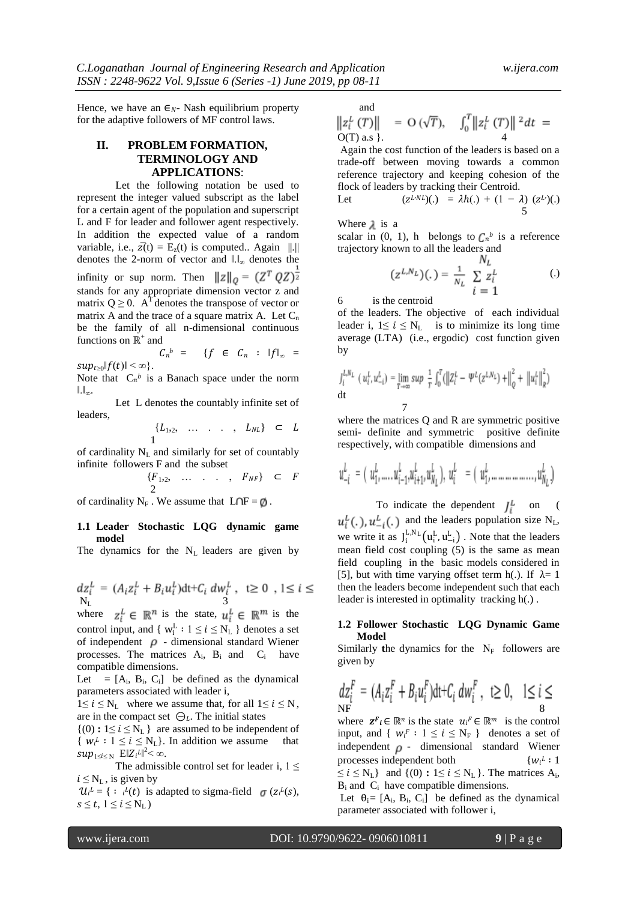Hence, we have an  $\epsilon_{N}$ - Nash equilibrium property for the adaptive followers of MF control laws.

## **II. PROBLEM FORMATION, TERMINOLOGY AND APPLICATIONS**:

Let the following notation be used to represent the integer valued subscript as the label for a certain agent of the population and superscript L and F for leader and follower agent respectively. In addition the expected value of a random variable, i.e.,  $\overline{z}(t) = E_z(t)$  is computed.. Again ||.|| denotes the 2-norm of vector and  $\mathbb{I}.\mathbb{I}_{\infty}$  denotes the infinity or sup norm. Then  $||z||_0 = (Z^T Q Z)^{\frac{1}{2}}$ stands for any appropriate dimension vector z and matrix  $Q \ge 0$ . A<sup>T</sup> denotes the transpose of vector or matrix A and the trace of a square matrix A. Let  $C_n$ be the family of all n-dimensional continuous functions on  $\mathbb{R}^+$  and

 $C_n{}^b = \{ f \in C_n : ||f||_{\infty} =$  $sup_{t>0}$ | $f(t)$ | <  $\infty$  }.

Note that  $C_n^b$  is a Banach space under the norm  $\|.\|_{\infty}$ .

Let L denotes the countably infinite set of leaders,

$$
\{L_1, 2, \ldots, L_{NL}\} \subset L
$$

of cardinality  $N_L$  and similarly for set of countably infinite followers F and the subset

$$
\begin{array}{cccc}\n\{F_{1,2}, \ldots, F_{NF}\} & \subset & F \\
2 & \end{array}
$$

of cardinality  $N_F$ . We assume that  $L \cap F = \emptyset$ .

### **1.1 Leader Stochastic LQG dynamic game model**

The dynamics for the  $N_L$  leaders are given by

$$
dz_i^L = (A_i z_i^L + B_i u_i^L) dt + C_i d w_i^L, \quad t \ge 0, \quad 1 \le i \le N_L
$$

where  $z_i^L \in \mathbb{R}^n$  is the state,  $u_i^L \in \mathbb{R}^m$  is the control input, and {  $w_i^L : 1 \le i \le N_L$  } denotes a set of independent  $\rho$  - dimensional standard Wiener processes. The matrices  $A_i$ ,  $B_i$  and  $C_i$  have compatible dimensions.

Let  $=[A_i, B_i, C_i]$  be defined as the dynamical parameters associated with leader i,

 $1 \le i \le N_L$  where we assume that, for all  $1 \le i \le N$ , are in the compact set  $\Theta_L$ . The initial states

 $\{(0): 1 \le i \le N_L\}$  are assumed to be independent of {  $w_i^i : 1 \le i \le N_L$ }. In addition we assume that  $sup_{1\leq i\leq N}$   $E\|Z_i^L\|^2<\infty$ .

The admissible control set for leader i,  $1 \leq$  $i \leq N_{\rm L}$ , is given by

 $\mathcal{U}_i^L = \{ : i^L(t) \text{ is adapted to sigma-field } \sigma(z_i^L(s)), \}$  $s \leq t$ ,  $1 \leq i \leq N_{L}$ 

and

$$
\|z_i^L(T)\| = O(\sqrt{T}), \quad \int_0^T \|z_i^L(T)\|^2 dt = O(T) \text{ a.s }.
$$

Again the cost function of the leaders is based on a trade-off between moving towards a common reference trajectory and keeping cohesion of the flock of leaders by tracking their Centroid.

Let 
$$
(z^{L \cdot NL})(.) = \lambda h(.) + (1 - \lambda) (z^{L})(.)
$$

Where  $\lambda$  is a

scalar in (0, 1), h belongs to  $C_n^b$  is a reference trajectory known to all the leaders and

$$
(z^{L,N_L})(.) = \frac{1}{N_L} \sum_{i=1}^{N_L} z_i^L \qquad \qquad (.)
$$

6 is the centroid

of the leaders. The objective of each individual leader i,  $1 \le i \le N_L$  is to minimize its long time average (LTA) (i.e., ergodic) cost function given by

$$
\int_{i}^{L, N_{L}} (u_{i}^{L}, u_{-i}^{L}) = \lim_{T \to \infty} \sup \frac{1}{T} \int_{0}^{T} (\left\| Z_{i}^{L} - \Psi^{L}(z^{L, N_{L}}) + \right\|_{Q}^{2} + \left\| u_{i}^{L} \right\|_{R}^{2})
$$
  
dt

where the matrices O and R are symmetric positive semi- definite and symmetric positive definite respectively, with compatible dimensions and

$$
u^{L}_{-i} \; = \; ( \; u^{L}_{1}, \ldots . , u^{L}_{i-1}, u^{L}_{i+1}, u^{L}_{N_L} \;), \; u^{L}_{i} \; \; = \; ( \; u^{L}_{1}, \ldots . . . . . . . . . . . . , u^{L}_{N_L} \; )
$$

To indicate the dependent  $J_i^L$  on (  $u_i^L(.)$ ,  $u_{-i}^L(.)$  and the leaders population size N<sub>L</sub>, we write it as  $J_i^{L,N_L}(u_i^L, u_{-i}^L)$ . Note that the leaders mean field cost coupling (5) is the same as mean field coupling in the basic models considered in [5], but with time varying offset term h(.). If  $\lambda = 1$ then the leaders become independent such that each leader is interested in optimality tracking h(.) .

## **1.2 Follower Stochastic LQG Dynamic Game Model**

Similarly the dynamics for the  $N_F$  followers are given by

$$
dz_i^F = (A_i z_i^F + B_i u_i^F) dt + C_i dw_i^F, t \ge 0, 1 \le i \le
$$

where  $\mathbf{z}^F_i \in \mathbb{R}^n$  is the state  $u_i^F \in \mathbb{R}^m$  is the control input, and  $\{ w_i^F : 1 \le i \le N_F \}$  denotes a set of independent  $\rho$  - dimensional standard Wiener processes independent both {  $\{w_i^L: 1$  $\leq i \leq N_{L}$ } and {(0) **:** 1  $\leq i \leq N_{L}$  }. The matrices  $A_{i}$ ,

 $B_i$  and  $C_i$  have compatible dimensions.

Let  $\theta_i = [A_i, B_i, C_i]$  be defined as the dynamical parameter associated with follower i,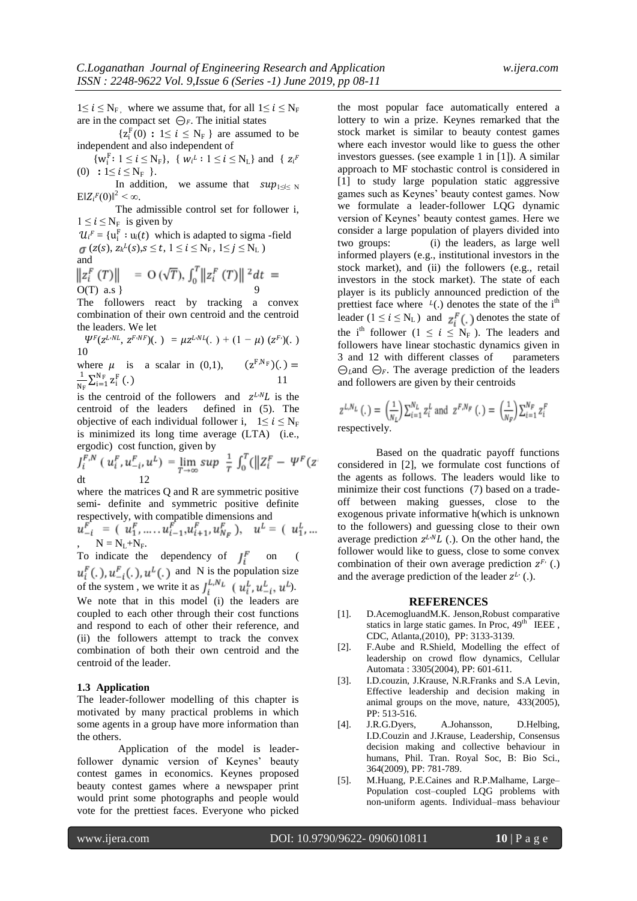$1 \le i \le N_F$ , where we assume that, for all  $1 \le i \le N_F$ are in the compact set  $\bigcirc_F$ . The initial states

 ${z_i^F(0) : 1 \le i \le N_F}$  are assumed to be independent and also independent of

 $\{w_i^F: 1 \le i \le N_F\}, \{w_i^L: 1 \le i \le N_L\}$  and  $\{z_i^F\}$ (0) **:**  $1 \le i \le N_F$  }.

In addition, we assume that  $sup_{1\leq i \leq N}$  $E\|Z_i^F(0)\|^2 < \infty$ .

The admissible control set for follower i,  $1 \le i \le N_F$  is given by

 $\mathcal{U}_i^F = \{u_i^F : u_i(t)$  which is adapted to sigma-field  $(z(s), z_k^L(s), s \le t, 1 \le i \le N_F, 1 \le j \le N_L)$ and

$$
\|z_i^F(T)\| = O(\sqrt{T}), \int_0^T \|z_i^F(T)\|^2 dt = O(T) \text{ a.s } \}
$$

The followers react by tracking a convex combination of their own centroid and the centroid the leaders. We let

 $\Psi^F(z^{LNL}, z^{F\cdot NF})(\cdot) = \mu z^{LNL}(\cdot) + (1 - \mu) (z^{F\cdot})(\cdot)$ 10

where  $\mu$  is a scalar in (0,1),  $(z^{F,N_F})(.) =$ 1  $\frac{1}{N_F} \sum_{i=1}^{N_F} z_i^F$  $(.)$  11

is the centroid of the followers and  $z^{L \cdot N}L$  is the centroid of the leaders defined in (5). The objective of each individual follower i,  $1 \le i \le N_F$ is minimized its long time average (LTA) (i.e., ergodic) cost function, given by

$$
J_i^{F,N} (u_i^F, u_{-i}^F, u^L) = \lim_{T \to \infty} \sup \frac{1}{T} \int_0^T (||Z_i^F - \Psi^F(z_{-i}^F)||Z_i^F - \Psi^F(z_{-i}^F))
$$

where the matrices Q and R are symmetric positive semi- definite and symmetric positive definite respectively, with compatible dimensions and

,  $N = N_L + N_F$ .

To indicate the dependency of  $I_i^F$  on ( and N is the population size of the system, we write it as  $J_i^{L, N_L}$  ( $u_i^L, u_{-i}^L, u^L$ ). We note that in this model (i) the leaders are coupled to each other through their cost functions and respond to each of other their reference, and (ii) the followers attempt to track the convex combination of both their own centroid and the centroid of the leader.

#### **1.3 Application**

The leader-follower modelling of this chapter is motivated by many practical problems in which some agents in a group have more information than the others.

Application of the model is leaderfollower dynamic version of Keynes' beauty contest games in economics. Keynes proposed beauty contest games where a newspaper print would print some photographs and people would vote for the prettiest faces. Everyone who picked

the most popular face automatically entered a lottery to win a prize. Keynes remarked that the stock market is similar to beauty contest games where each investor would like to guess the other investors guesses. (see example 1 in [1]). A similar approach to MF stochastic control is considered in [1] to study large population static aggressive games such as Keynes' beauty contest games. Now we formulate a leader-follower LQG dynamic version of Keynes' beauty contest games. Here we consider a large population of players divided into two groups: (i) the leaders, as large well informed players (e.g., institutional investors in the stock market), and (ii) the followers (e.g., retail investors in the stock market). The state of each player is its publicly announced prediction of the prettiest face where  $l(.)$  denotes the state of the i<sup>th</sup> leader ( $1 \le i \le N_L$ ) and  $z_i^F$ (.) denotes the state of the i<sup>th</sup> follower ( $1 \le i \le N_F$ ). The leaders and followers have linear stochastic dynamics given in 3 and 12 with different classes of parameters  $\ominus_L$  and  $\ominus_F$ . The average prediction of the leaders and followers are given by their centroids

$$
z^{L,N_L}(.) = \left(\frac{1}{N_L}\right) \sum_{i=1}^{N_L} z_i^L \text{ and } z^{F,N_F}(.) = \left(\frac{1}{N_F}\right) \sum_{i=1}^{N_F} z_i^F
$$
  
respectively.

Based on the quadratic payoff functions considered in [2], we formulate cost functions of the agents as follows. The leaders would like to minimize their cost functions (7) based on a tradeoff between making guesses, close to the exogenous private informative h(which is unknown to the followers) and guessing close to their own average prediction  $z^{L \cdot NL}$  (.). On the other hand, the follower would like to guess, close to some convex combination of their own average prediction  $z^{F}$ . (.) and the average prediction of the leader  $z^L$  (.).

#### **REFERENCES**

- [1]. D.AcemogluandM.K. Jenson,Robust comparative statics in large static games. In Proc,  $49<sup>th</sup>$  IEEE, CDC, Atlanta,(2010), PP: 3133-3139.
- [2]. F.Aube and R.Shield, Modelling the effect of leadership on crowd flow dynamics, Cellular Automata : 3305(2004), PP: 601-611.
- [3]. I.D.couzin, J.Krause, N.R.Franks and S.A Levin, Effective leadership and decision making in animal groups on the move, nature, 433(2005), PP: 513-516.
- [4]. J.R.G.Dyers, A.Johansson, D.Helbing, I.D.Couzin and J.Krause, Leadership, Consensus decision making and collective behaviour in humans, Phil. Tran. Royal Soc, B: Bio Sci., 364(2009), PP: 781-789.
- [5]. M.Huang, P.E.Caines and R.P.Malhame, Large– Population cost–coupled LQG problems with non-uniform agents. Individual–mass behaviour